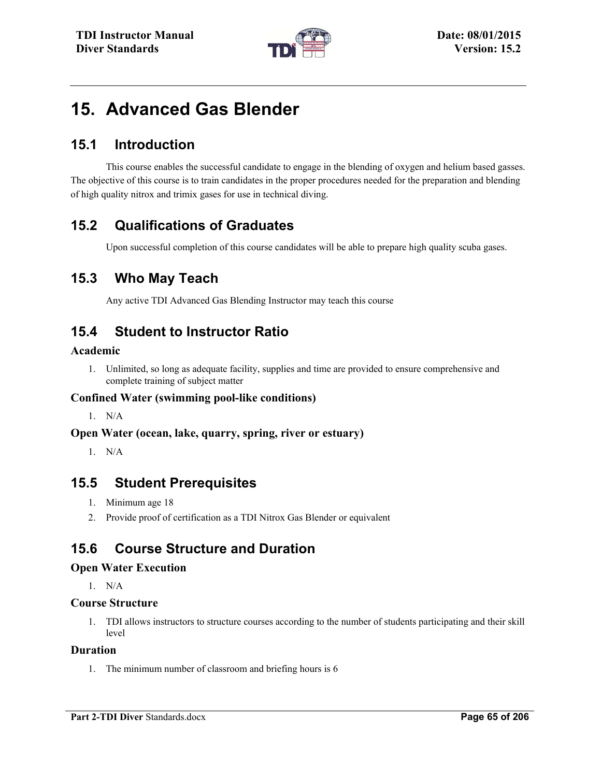

# **15. Advanced Gas Blender**

## **15.1 Introduction**

This course enables the successful candidate to engage in the blending of oxygen and helium based gasses. The objective of this course is to train candidates in the proper procedures needed for the preparation and blending of high quality nitrox and trimix gases for use in technical diving.

## **15.2 Qualifications of Graduates**

Upon successful completion of this course candidates will be able to prepare high quality scuba gases.

## **15.3 Who May Teach**

Any active TDI Advanced Gas Blending Instructor may teach this course

## **15.4 Student to Instructor Ratio**

#### **Academic**

1. Unlimited, so long as adequate facility, supplies and time are provided to ensure comprehensive and complete training of subject matter

#### **Confined Water (swimming pool-like conditions)**

1. N/A

#### **Open Water (ocean, lake, quarry, spring, river or estuary)**

1. N/A

### **15.5 Student Prerequisites**

- 1. Minimum age 18
- 2. Provide proof of certification as a TDI Nitrox Gas Blender or equivalent

## **15.6 Course Structure and Duration**

#### **Open Water Execution**

1. N/A

#### **Course Structure**

1. TDI allows instructors to structure courses according to the number of students participating and their skill level

#### **Duration**

1. The minimum number of classroom and briefing hours is 6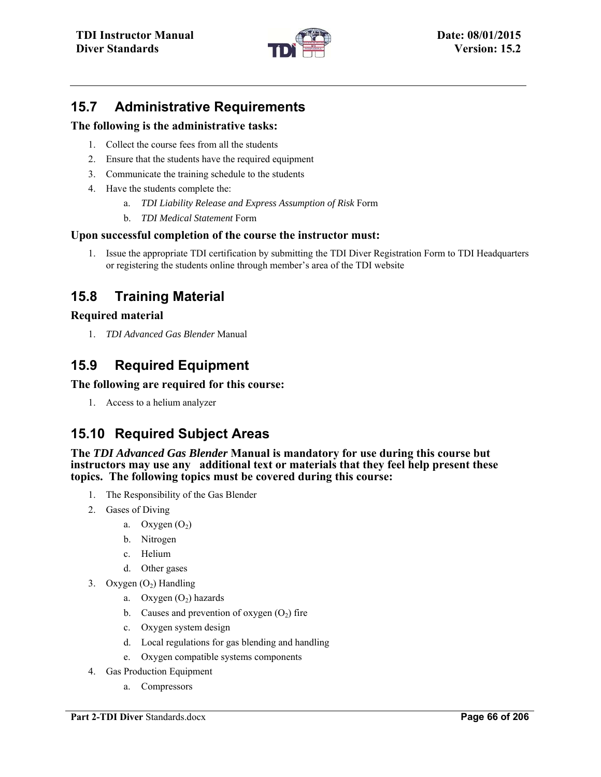

## **15.7 Administrative Requirements**

#### **The following is the administrative tasks:**

- 1. Collect the course fees from all the students
- 2. Ensure that the students have the required equipment
- 3. Communicate the training schedule to the students
- 4. Have the students complete the:
	- a. *TDI Liability Release and Express Assumption of Risk* Form
	- b. *TDI Medical Statement* Form

#### **Upon successful completion of the course the instructor must:**

1. Issue the appropriate TDI certification by submitting the TDI Diver Registration Form to TDI Headquarters or registering the students online through member's area of the TDI website

## **15.8 Training Material**

#### **Required material**

1. *TDI Advanced Gas Blender* Manual

## **15.9 Required Equipment**

#### **The following are required for this course:**

1. Access to a helium analyzer

## **15.10 Required Subject Areas**

**The** *TDI Advanced Gas Blender* **Manual is mandatory for use during this course but instructors may use any additional text or materials that they feel help present these topics. The following topics must be covered during this course:** 

- 1. The Responsibility of the Gas Blender
- 2. Gases of Diving
	- a. Oxygen  $(O_2)$
	- b. Nitrogen
	- c. Helium
	- d. Other gases
- 3. Oxygen  $(O_2)$  Handling
	- a. Oxygen  $(O_2)$  hazards
	- b. Causes and prevention of oxygen  $(O_2)$  fire
	- c. Oxygen system design
	- d. Local regulations for gas blending and handling
	- e. Oxygen compatible systems components
- 4. Gas Production Equipment
	- a. Compressors